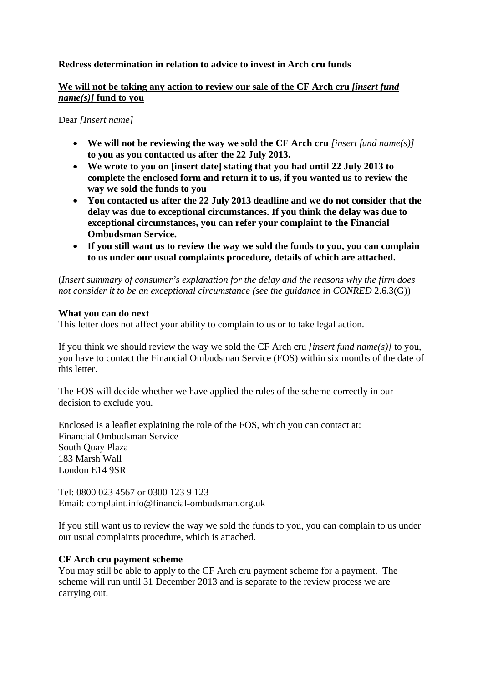# **Redress determination in relation to advice to invest in Arch cru funds**

# **We will not be taking any action to review our sale of the CF Arch cru** *[insert fund name(s)]* **fund to you**

#### Dear *[Insert name]*

- We will not be reviewing the way we sold the CF Arch cru *[insert fund name(s)]* **to you as you contacted us after the 22 July 2013.**
- **We wrote to you on [insert date] stating that you had until 22 July 2013 to complete the enclosed form and return it to us, if you wanted us to review the way we sold the funds to you**
- **You contacted us after the 22 July 2013 deadline and we do not consider that the delay was due to exceptional circumstances. If you think the delay was due to exceptional circumstances, you can refer your complaint to the Financial Ombudsman Service.**
- **If you still want us to review the way we sold the funds to you, you can complain to us under our usual complaints procedure, details of which are attached.**

(*Insert summary of consumer's explanation for the delay and the reasons why the firm does not consider it to be an exceptional circumstance (see the guidance in CONRED 2.6.3(G))* 

## **What you can do next**

This letter does not affect your ability to complain to us or to take legal action.

If you think we should review the way we sold the CF Arch cru *[insert fund name(s)]* to you, you have to contact the Financial Ombudsman Service (FOS) within six months of the date of this letter.

The FOS will decide whether we have applied the rules of the scheme correctly in our decision to exclude you.

Enclosed is a leaflet explaining the role of the FOS, which you can contact at: Financial Ombudsman Service South Quay Plaza 183 Marsh Wall London E14 9SR

Tel: 0800 023 4567 or 0300 123 9 123 Email: complaint.info@financial-ombudsman.org.uk

If you still want us to review the way we sold the funds to you, you can complain to us under our usual complaints procedure, which is attached.

## **CF Arch cru payment scheme**

You may still be able to apply to the CF Arch cru payment scheme for a payment. The scheme will run until 31 December 2013 and is separate to the review process we are carrying out.